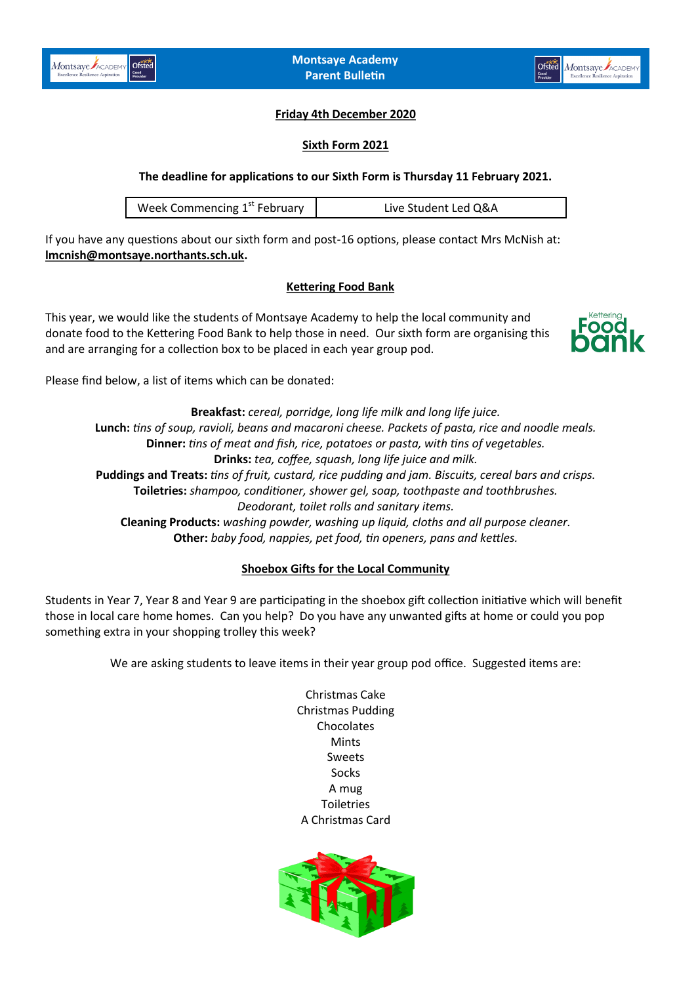



### **Friday 4th December 2020**

#### **Sixth Form 2021**

**The deadline for applications to our Sixth Form is Thursday 11 February 2021.** 

If you have any questions about our sixth form and post-16 options, please contact Mrs McNish at: **[lmcnish@montsaye.northants.sch.uk.](mailto:lmcnish@montsaye.northants.sch.uk)**

#### **Kettering Food Bank**

This year, we would like the students of Montsaye Academy to help the local community and donate food to the Kettering Food Bank to help those in need. Our sixth form are organising this and are arranging for a collection box to be placed in each year group pod.



Please find below, a list of items which can be donated:

**Breakfast:** *cereal, porridge, long life milk and long life juice.* **Lunch:** *tins of soup, ravioli, beans and macaroni cheese. Packets of pasta, rice and noodle meals.* **Dinner:** *tins of meat and fish, rice, potatoes or pasta, with tins of vegetables.* **Drinks:** *tea, coffee, squash, long life juice and milk.* **Puddings and Treats:** *tins of fruit, custard, rice pudding and jam. Biscuits, cereal bars and crisps.* **Toiletries:** *shampoo, conditioner, shower gel, soap, toothpaste and toothbrushes. Deodorant, toilet rolls and sanitary items.* **Cleaning Products:** *washing powder, washing up liquid, cloths and all purpose cleaner.* **Other:** *baby food, nappies, pet food, tin openers, pans and kettles.*

### **Shoebox Gifts for the Local Community**

Students in Year 7, Year 8 and Year 9 are participating in the shoebox gift collection initiative which will benefit those in local care home homes. Can you help? Do you have any unwanted gifts at home or could you pop something extra in your shopping trolley this week?

We are asking students to leave items in their year group pod office. Suggested items are:

Christmas Cake Christmas Pudding **Chocolates** Mints Sweets Socks A mug **Toiletries** A Christmas Card